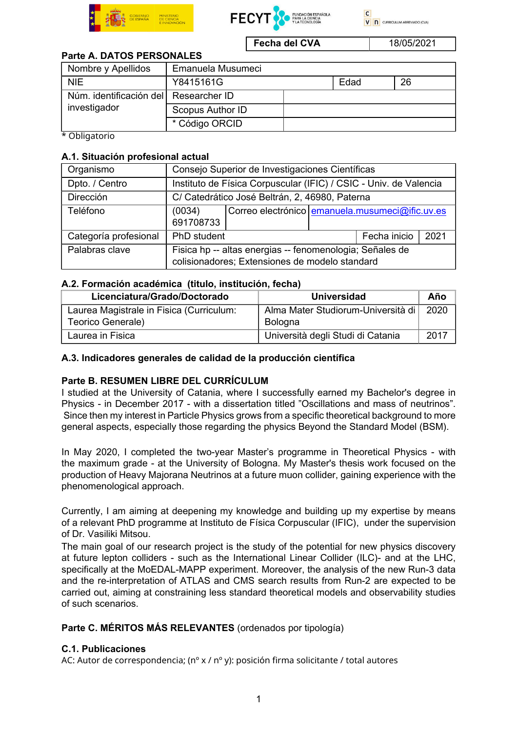





Fecha del CVA 18/05/2021

## Parte A. DATOS PERSONALES

| Nombre y Apellidos                                      | Emanuela Musumeci |  |      |    |
|---------------------------------------------------------|-------------------|--|------|----|
| <b>NIE</b>                                              | Y8415161G         |  | Edad | 26 |
| Núm. identificación del   Researcher ID<br>investigador |                   |  |      |    |
|                                                         | Scopus Author ID  |  |      |    |
|                                                         | * Código ORCID    |  |      |    |

\* Obligatorio

#### A.1. Situación profesional actual

| Organismo             | Consejo Superior de Investigaciones Científicas                                                            |                                                 |  |              |      |  |
|-----------------------|------------------------------------------------------------------------------------------------------------|-------------------------------------------------|--|--------------|------|--|
| Dpto. / Centro        | Instituto de Física Corpuscular (IFIC) / CSIC - Univ. de Valencia                                          |                                                 |  |              |      |  |
| Dirección             | C/ Catedrático José Beltrán, 2, 46980, Paterna                                                             |                                                 |  |              |      |  |
| Teléfono              | (0034)<br>691708733                                                                                        | Correo electrónico emanuela musumeci@ific.uv.es |  |              |      |  |
| Categoría profesional | PhD student                                                                                                |                                                 |  | Fecha inicio | 2021 |  |
| Palabras clave        | Fisica hp -- altas energias -- fenomenologia; Señales de<br>colisionadores; Extensiones de modelo standard |                                                 |  |              |      |  |

### A.2. Formación académica (titulo, institución, fecha)

| Licenciatura/Grado/Doctorado                                  | <b>Universidad</b>                            | Año  |
|---------------------------------------------------------------|-----------------------------------------------|------|
| Laurea Magistrale in Fisica (Curriculum:<br>Teorico Generale) | Alma Mater Studiorum-Università di<br>Bologna | 2020 |
| Laurea in Fisica                                              | Università degli Studi di Catania             | 2017 |

### A.3. Indicadores generales de calidad de la producción científica

## Parte B. RESUMEN LIBRE DEL CURRÍCULUM

I studied at the University of Catania, where I successfully earned my Bachelor's degree in Physics - in December 2017 - with a dissertation titled "Oscillations and mass of neutrinos". Since then my interest in Particle Physics grows from a specific theoretical background to more general aspects, especially those regarding the physics Beyond the Standard Model (BSM).

In May 2020, I completed the two-year Master's programme in Theoretical Physics - with the maximum grade - at the University of Bologna. My Master's thesis work focused on the production of Heavy Majorana Neutrinos at a future muon collider, gaining experience with the phenomenological approach.

Currently, I am aiming at deepening my knowledge and building up my expertise by means of a relevant PhD programme at Instituto de Física Corpuscular (IFIC), under the supervision of Dr. Vasiliki Mitsou.

The main goal of our research project is the study of the potential for new physics discovery at future lepton colliders - such as the International Linear Collider (ILC)- and at the LHC, specifically at the MoEDAL-MAPP experiment. Moreover, the analysis of the new Run-3 data and the re-interpretation of ATLAS and CMS search results from Run-2 are expected to be carried out, aiming at constraining less standard theoretical models and observability studies of such scenarios.

## Parte C. MÉRITOS MÁS RELEVANTES (ordenados por tipología)

#### C.1. Publicaciones

AC: Autor de correspondencia; (nº x / nº y): posición firma solicitante / total autores